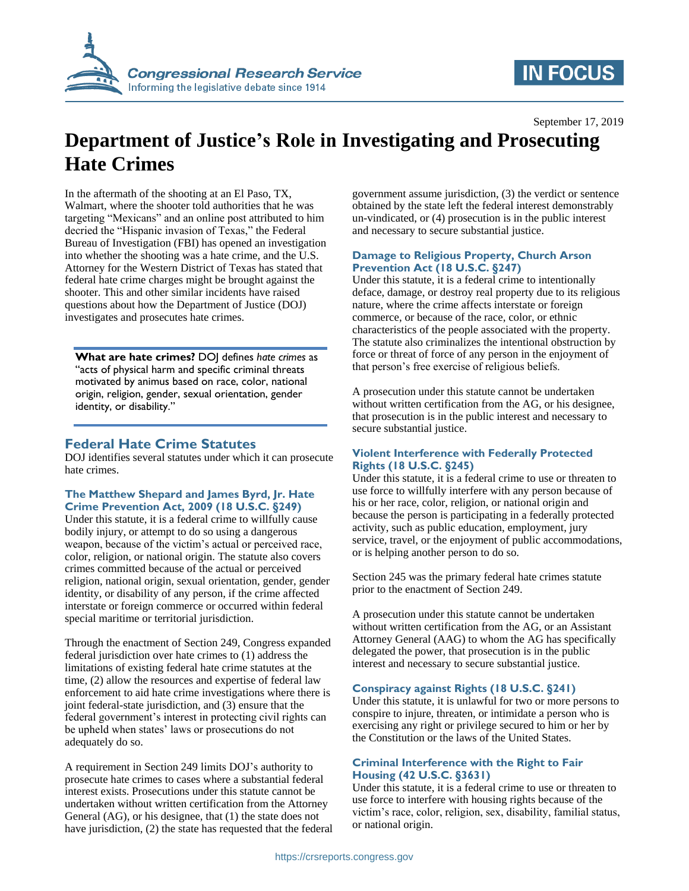

# **IN FOCUS**

September 17, 2019

# **Department of Justice's Role in Investigating and Prosecuting Hate Crimes**

In the aftermath of the shooting at an El Paso, TX, Walmart, where the shooter told authorities that he was targeting "Mexicans" and an online post attributed to him decried the "Hispanic invasion of Texas," the Federal Bureau of Investigation (FBI) has opened an investigation into whether the shooting was a hate crime, and the U.S. Attorney for the Western District of Texas has stated that federal hate crime charges might be brought against the shooter. This and other similar incidents have raised questions about how the Department of Justice (DOJ) investigates and prosecutes hate crimes.

**What are hate crimes?** DOJ defines *hate crimes* as "acts of physical harm and specific criminal threats motivated by animus based on race, color, national origin, religion, gender, sexual orientation, gender identity, or disability."

## **Federal Hate Crime Statutes**

DOJ identifies several statutes under which it can prosecute hate crimes.

#### **The Matthew Shepard and James Byrd, Jr. Hate Crime Prevention Act, 2009 (18 U.S.C. §249)**

Under this statute, it is a federal crime to willfully cause bodily injury, or attempt to do so using a dangerous weapon, because of the victim's actual or perceived race, color, religion, or national origin. The statute also covers crimes committed because of the actual or perceived religion, national origin, sexual orientation, gender, gender identity, or disability of any person, if the crime affected interstate or foreign commerce or occurred within federal special maritime or territorial jurisdiction.

Through the enactment of Section 249, Congress expanded federal jurisdiction over hate crimes to (1) address the limitations of existing federal hate crime statutes at the time, (2) allow the resources and expertise of federal law enforcement to aid hate crime investigations where there is joint federal-state jurisdiction, and (3) ensure that the federal government's interest in protecting civil rights can be upheld when states' laws or prosecutions do not adequately do so.

A requirement in Section 249 limits DOJ's authority to prosecute hate crimes to cases where a substantial federal interest exists. Prosecutions under this statute cannot be undertaken without written certification from the Attorney General (AG), or his designee, that (1) the state does not have jurisdiction, (2) the state has requested that the federal government assume jurisdiction, (3) the verdict or sentence obtained by the state left the federal interest demonstrably un-vindicated, or (4) prosecution is in the public interest and necessary to secure substantial justice.

#### **Damage to Religious Property, Church Arson Prevention Act (18 U.S.C. §247)**

Under this statute, it is a federal crime to intentionally deface, damage, or destroy real property due to its religious nature, where the crime affects interstate or foreign commerce, or because of the race, color, or ethnic characteristics of the people associated with the property. The statute also criminalizes the intentional obstruction by force or threat of force of any person in the enjoyment of that person's free exercise of religious beliefs.

A prosecution under this statute cannot be undertaken without written certification from the AG, or his designee, that prosecution is in the public interest and necessary to secure substantial justice.

#### **Violent Interference with Federally Protected Rights (18 U.S.C. §245)**

Under this statute, it is a federal crime to use or threaten to use force to willfully interfere with any person because of his or her race, color, religion, or national origin and because the person is participating in a federally protected activity, such as public education, employment, jury service, travel, or the enjoyment of public accommodations, or is helping another person to do so.

Section 245 was the primary federal hate crimes statute prior to the enactment of Section 249.

A prosecution under this statute cannot be undertaken without written certification from the AG, or an Assistant Attorney General (AAG) to whom the AG has specifically delegated the power, that prosecution is in the public interest and necessary to secure substantial justice.

#### **Conspiracy against Rights (18 U.S.C. §241)**

Under this statute, it is unlawful for two or more persons to conspire to injure, threaten, or intimidate a person who is exercising any right or privilege secured to him or her by the Constitution or the laws of the United States.

#### **Criminal Interference with the Right to Fair Housing (42 U.S.C. §3631)**

Under this statute, it is a federal crime to use or threaten to use force to interfere with housing rights because of the victim's race, color, religion, sex, disability, familial status, or national origin.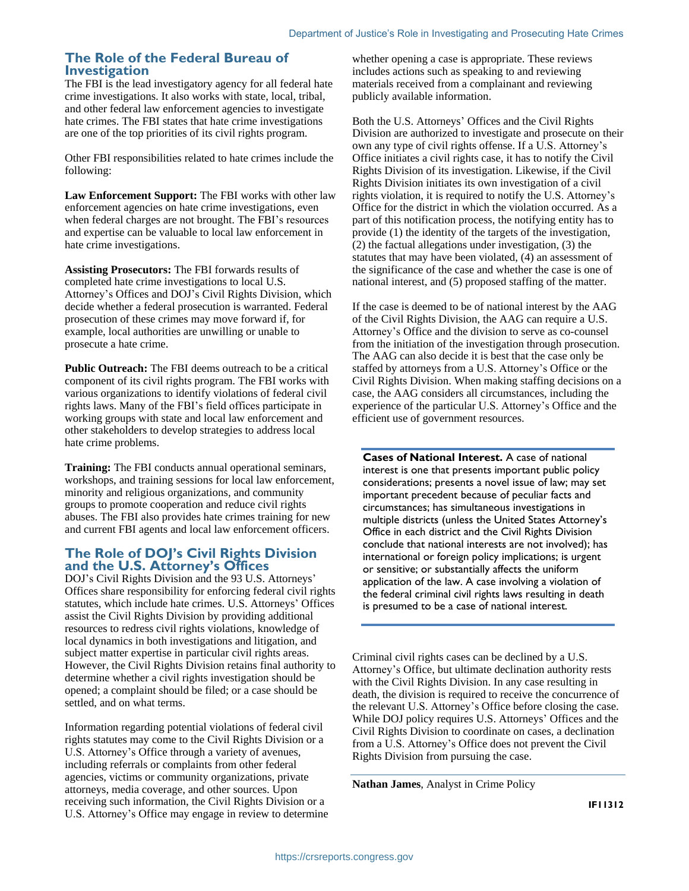## **The Role of the Federal Bureau of Investigation**

The FBI is the lead investigatory agency for all federal hate crime investigations. It also works with state, local, tribal, and other federal law enforcement agencies to investigate hate crimes. The FBI states that hate crime investigations are one of the top priorities of its civil rights program.

Other FBI responsibilities related to hate crimes include the following:

**Law Enforcement Support:** The FBI works with other law enforcement agencies on hate crime investigations, even when federal charges are not brought. The FBI's resources and expertise can be valuable to local law enforcement in hate crime investigations.

**Assisting Prosecutors:** The FBI forwards results of completed hate crime investigations to local U.S. Attorney's Offices and DOJ's Civil Rights Division, which decide whether a federal prosecution is warranted. Federal prosecution of these crimes may move forward if, for example, local authorities are unwilling or unable to prosecute a hate crime.

**Public Outreach:** The FBI deems outreach to be a critical component of its civil rights program. The FBI works with various organizations to identify violations of federal civil rights laws. Many of the FBI's field offices participate in working groups with state and local law enforcement and other stakeholders to develop strategies to address local hate crime problems.

**Training:** The FBI conducts annual operational seminars, workshops, and training sessions for local law enforcement, minority and religious organizations, and community groups to promote cooperation and reduce civil rights abuses. The FBI also provides hate crimes training for new and current FBI agents and local law enforcement officers.

### **The Role of DOJ's Civil Rights Division and the U.S. Attorney's Offices**

DOJ's Civil Rights Division and the 93 U.S. Attorneys' Offices share responsibility for enforcing federal civil rights statutes, which include hate crimes. U.S. Attorneys' Offices assist the Civil Rights Division by providing additional resources to redress civil rights violations, knowledge of local dynamics in both investigations and litigation, and subject matter expertise in particular civil rights areas. However, the Civil Rights Division retains final authority to determine whether a civil rights investigation should be opened; a complaint should be filed; or a case should be settled, and on what terms.

Information regarding potential violations of federal civil rights statutes may come to the Civil Rights Division or a U.S. Attorney's Office through a variety of avenues, including referrals or complaints from other federal agencies, victims or community organizations, private attorneys, media coverage, and other sources. Upon receiving such information, the Civil Rights Division or a U.S. Attorney's Office may engage in review to determine whether opening a case is appropriate. These reviews includes actions such as speaking to and reviewing materials received from a complainant and reviewing publicly available information.

Both the U.S. Attorneys' Offices and the Civil Rights Division are authorized to investigate and prosecute on their own any type of civil rights offense. If a U.S. Attorney's Office initiates a civil rights case, it has to notify the Civil Rights Division of its investigation. Likewise, if the Civil Rights Division initiates its own investigation of a civil rights violation, it is required to notify the U.S. Attorney's Office for the district in which the violation occurred. As a part of this notification process, the notifying entity has to provide (1) the identity of the targets of the investigation, (2) the factual allegations under investigation, (3) the statutes that may have been violated, (4) an assessment of the significance of the case and whether the case is one of national interest, and (5) proposed staffing of the matter.

If the case is deemed to be of national interest by the AAG of the Civil Rights Division, the AAG can require a U.S. Attorney's Office and the division to serve as co-counsel from the initiation of the investigation through prosecution. The AAG can also decide it is best that the case only be staffed by attorneys from a U.S. Attorney's Office or the Civil Rights Division. When making staffing decisions on a case, the AAG considers all circumstances, including the experience of the particular U.S. Attorney's Office and the efficient use of government resources.

**Cases of National Interest.** A case of national interest is one that presents important public policy considerations; presents a novel issue of law; may set important precedent because of peculiar facts and circumstances; has simultaneous investigations in multiple districts (unless the United States Attorney's Office in each district and the Civil Rights Division conclude that national interests are not involved); has international or foreign policy implications; is urgent or sensitive; or substantially affects the uniform application of the law. A case involving a violation of the federal criminal civil rights laws resulting in death is presumed to be a case of national interest.

Criminal civil rights cases can be declined by a U.S. Attorney's Office, but ultimate declination authority rests with the Civil Rights Division. In any case resulting in death, the division is required to receive the concurrence of the relevant U.S. Attorney's Office before closing the case. While DOJ policy requires U.S. Attorneys' Offices and the Civil Rights Division to coordinate on cases, a declination from a U.S. Attorney's Office does not prevent the Civil Rights Division from pursuing the case.

**Nathan James**, Analyst in Crime Policy